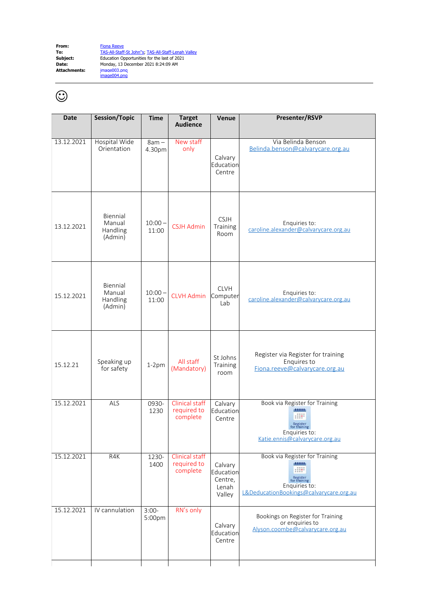**From:** [Fiona Reeve](mailto:Fiona.Reeve@calvarycare.org.au) **Date:<br>Date:<br>Attachments:** 

**To:** [TAS-All-Staff-St John"s](mailto:TAS-All-Staff-StJohn"s@calvarycare.org.au); [TAS-All-Staff-Lenah Valley](mailto:TAS-All-Staff-LenahValley@calvarycare.org.au) **Subject:** Education Opportunities for the last of 2021 **Date:** Monday, 13 December 2021 8:24:09 AM image003.png<br>image004.png

## $\odot$

| <b>Date</b> | Session/Topic                             | <b>Time</b>        | <b>Target</b><br>Audience                        | Venue                                              | Presenter/RSVP                                                                                                                             |
|-------------|-------------------------------------------|--------------------|--------------------------------------------------|----------------------------------------------------|--------------------------------------------------------------------------------------------------------------------------------------------|
| 13.12.2021  | Hospital Wide<br>Orientation              | $8am -$<br>4.30pm  | New staff<br>only                                | Calvary<br>Education<br>Centre                     | Via Belinda Benson<br>Belinda.benson@calvarycare.org.au                                                                                    |
| 13.12.2021  | Biennial<br>Manual<br>Handling<br>(Admin) | $10:00 -$<br>11:00 | <b>CSJH Admin</b>                                | <b>CSJH</b><br>Training<br>Room                    | Enquiries to:<br>caroline.alexander@calvarycare.org.au                                                                                     |
| 15.12.2021  | Biennial<br>Manual<br>Handling<br>(Admin) | $10:00 -$<br>11:00 | <b>CLVH Admin</b>                                | <b>CLVH</b><br>Computer<br>Lab                     | Enquiries to:<br>caroline.alexander@calvarycare.org.au                                                                                     |
| 15.12.21    | Speaking up<br>for safety                 | $1-2pm$            | All staff<br>(Mandatory)                         | St Johns<br>Training<br>room                       | Register via Register for training<br>Enquires to<br>Fiona.reeve@calvarycare.org.au                                                        |
| 15.12.2021  | <b>ALS</b>                                | 0930-<br>1230      | Clinical staff<br>required to<br>complete        | Calvary<br>Education<br>Centre                     | Book via Register for Training<br>11111<br>m<br>Register<br>for training<br>Enquiries to:<br>Katie.ennis@calvarycare.org.au                |
| 15.12.2021  | R4K                                       | 1230-<br>1400      | <b>Clinical staff</b><br>required to<br>complete | Calvary<br>Education<br>Centre,<br>Lenah<br>Valley | Book via Register for Training<br>district<br>::::<br>Register<br>for training<br>Enquiries to:<br>L&DeducationBookings@calvarycare.org.au |
| 15.12.2021  | IV cannulation                            | $3:00-$<br>5:00pm  | RN's only                                        | Calvary<br>Education<br>Centre                     | Bookings on Register for Training<br>or enquiries to<br>Alyson.coombe@calvarycare.org.au                                                   |